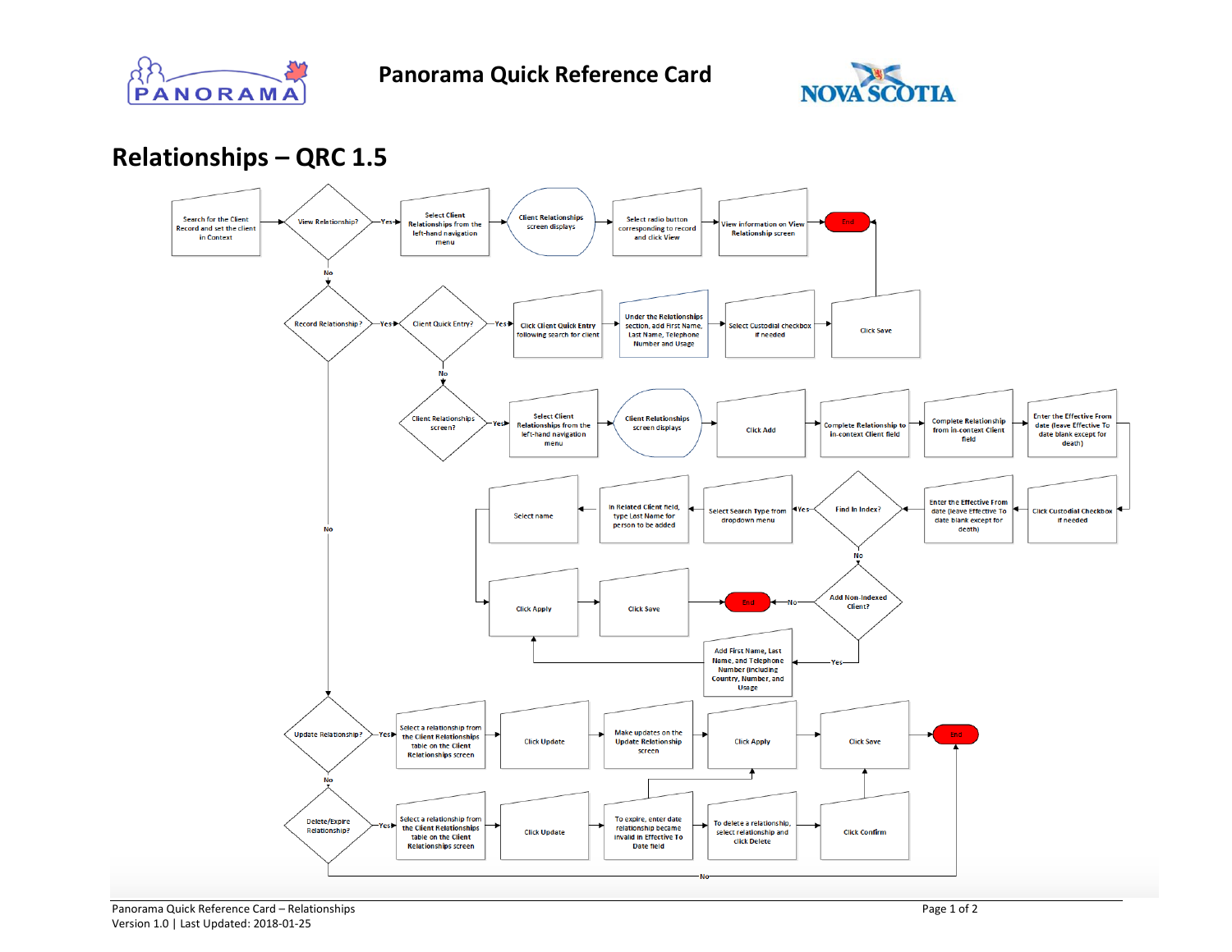



**Relationships – QRC 1.5**